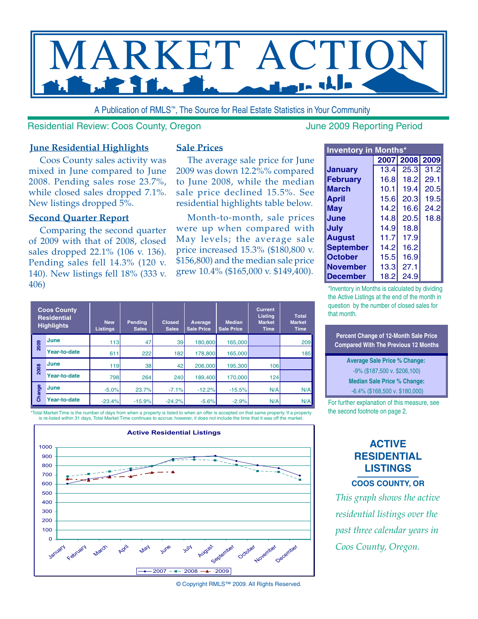

A Publication of RMLS™, The Source for Real Estate Statistics in Your Community

Residential Review: Coos County, Oregon June 2009 Reporting Period

#### **June Residential Highlights**

Coos County sales activity was mixed in June compared to June 2008. Pending sales rose 23.7%, while closed sales dropped 7.1%. New listings dropped 5%.

#### **Second Quarter Report**

Comparing the second quarter of 2009 with that of 2008, closed sales dropped 22.1% (106 v. 136). Pending sales fell 14.3% (120 v. 140). New listings fell 18% (333 v. 406)

#### **Sale Prices**

The average sale price for June 2009 was down 12.2%% compared to June 2008, while the median sale price declined 15.5%. See residential highlights table below.

Month-to-month, sale prices were up when compared with May levels; the average sale price increased 15.3% (\$180,800 v. \$156,800) and the median sale price grew 10.4% (\$165,000 v. \$149,400).

| <b>Inventory in Months*</b> |      |                |      |  |  |  |  |  |  |  |  |  |
|-----------------------------|------|----------------|------|--|--|--|--|--|--|--|--|--|
|                             |      | 2007 2008 2009 |      |  |  |  |  |  |  |  |  |  |
| Januarv                     | 13.4 | 25.3           | 31.2 |  |  |  |  |  |  |  |  |  |
| <b>February</b>             | 16.8 | 18.2           | 29.1 |  |  |  |  |  |  |  |  |  |
| <b>March</b>                | 10.1 | 19.4           | 20.5 |  |  |  |  |  |  |  |  |  |
| April                       | 15.6 | 20.3           | 19.5 |  |  |  |  |  |  |  |  |  |
| May                         | 14.2 | 16.6           | 24.2 |  |  |  |  |  |  |  |  |  |
| June                        | 14.8 | 20.5           | 18.8 |  |  |  |  |  |  |  |  |  |
| July                        | 14.9 | 18.8           |      |  |  |  |  |  |  |  |  |  |
| <b>August</b>               | 11.7 | 17.9           |      |  |  |  |  |  |  |  |  |  |
| <b>September</b>            | 14.2 | 16.2           |      |  |  |  |  |  |  |  |  |  |
| <b>October</b>              | 15.5 | 16.9           |      |  |  |  |  |  |  |  |  |  |
| <b>November</b>             | 13.3 | 27.1           |      |  |  |  |  |  |  |  |  |  |
| December                    | 18.2 | 24.9           |      |  |  |  |  |  |  |  |  |  |

\*Inventory in Months is calculated by dividing the Active Listings at the end of the month in question by the number of closed sales for that month.

**Percent Change of 12-Month Sale Price Compared With The Previous 12 Months**

> **Average Sale Price % Change:**  -9% (\$187,500 v. \$206,100) **Median Sale Price % Change:** -6.4% (\$168,500 v. \$180,000)

For further explanation of this measure, see the second footnote on page 2.

## **ACTIVE RESIDENTIAL LISTINGS**

**Coos County, OR**

*This graph shows the active residential listings over the past three calendar years in Coos County, Oregon.*

| <b>Coos County</b><br><b>Residential</b><br><b>Highlights</b> |              | <b>New</b><br><b>Listings</b> | Pending<br><b>Sales</b> | <b>Closed</b><br><b>Sales</b> | Average<br><b>Sale Price</b> | <b>Median</b><br><b>Sale Price</b> | <b>Current</b><br><b>Listing</b><br><b>Market</b><br><b>Time</b> | <b>Total</b><br><b>Market</b><br><b>Time</b> |  |
|---------------------------------------------------------------|--------------|-------------------------------|-------------------------|-------------------------------|------------------------------|------------------------------------|------------------------------------------------------------------|----------------------------------------------|--|
| 2009                                                          | <b>June</b>  | 113                           | 47                      | 39                            | 180,800                      | 165,000                            |                                                                  | 209                                          |  |
|                                                               | Year-to-date | 611                           | 222                     | 182                           | 178,800                      | 165,000                            |                                                                  | 185                                          |  |
| 2008                                                          | <b>June</b>  | 119                           | 38                      | 42                            | 206,000                      | 195.300                            | 106                                                              |                                              |  |
|                                                               | Year-to-date | 798                           | 264                     | 240                           | 189,400                      | 170,000                            | 124                                                              |                                              |  |
| Change                                                        | <b>June</b>  | $-5.0%$                       | 23.7%                   | $-7.1%$                       | $-12.2%$                     | $-15.5%$                           | N/A                                                              | N/A                                          |  |
|                                                               | Year-to-date | $-23.4%$                      | $-15.9%$                | $-24.2%$                      | $-5.6%$                      | $-2.9%$                            | N/A                                                              | N/A                                          |  |

Total Market Time is the number of days from when a property is listed to when an offer is accepted on that same property. If a property is re-listed within 31 days, Total Market Time continues to accrue; however, it does not include the time that it was off the market.



© Copyright RMLS™ 2009. All Rights Reserved.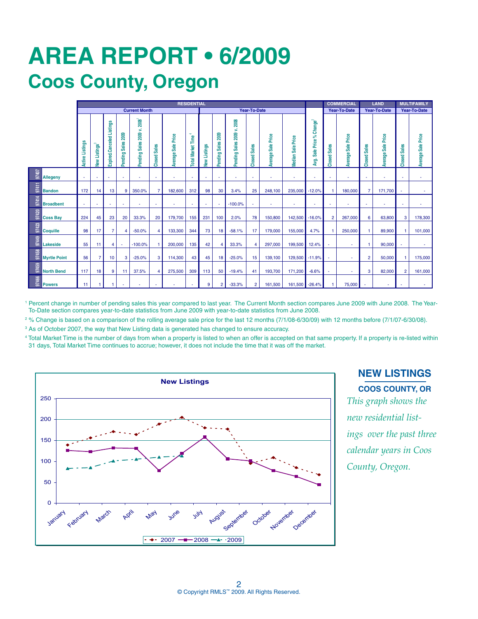# **AREa REPORT • 6/2009 Coos County, Oregon**

|                              | <b>RESIDENTIAL</b>   |                                            |                           |                    |                            |                          |                        |                                |                        |                                  |                            |                        |                           |                           |                                                    | <b>COMMERCIAL</b>             | <b>LAND</b>                      |                         | <b>MULTIFAMILY</b>        |                        |                           |
|------------------------------|----------------------|--------------------------------------------|---------------------------|--------------------|----------------------------|--------------------------|------------------------|--------------------------------|------------------------|----------------------------------|----------------------------|------------------------|---------------------------|---------------------------|----------------------------------------------------|-------------------------------|----------------------------------|-------------------------|---------------------------|------------------------|---------------------------|
|                              | <b>Current Month</b> |                                            |                           |                    |                            |                          |                        | Year-To-Date                   |                        |                                  |                            |                        |                           |                           | Year-To-Date                                       |                               | <b>Year-To-Date</b>              |                         | Year-To-Date              |                        |                           |
|                              | Listings<br>Active   | <b>Listings</b> <sup>3</sup><br><b>New</b> | Expired.Canceled Listings | Pending Sales 2009 | Pending Sales 2009 v. 2008 | <b>Sales</b><br>Closed   | Sale Price<br>Average: | ×,<br><b>Total Market Time</b> | Listings<br><b>New</b> | 2009<br><b>Sales</b><br>Pending: | Pending Sales 2009 v. 2008 | <b>Sales</b><br>Closed | <b>Average Sale Price</b> | Price<br>Sale I<br>Median | Change $^{2}$<br>್<br>Price<br><b>Sale</b><br>Avg. | <b>Sales</b><br><b>Closed</b> | Price<br><b>Sale</b><br>Average: | <b>Sales</b><br>Closed: | <b>Average Sale Price</b> | <b>Sales</b><br>Closed | <b>Average Sale Price</b> |
| 97407<br><b>Allegeny</b>     | ٠                    | $\sim$                                     | ×                         | ٠                  |                            | $\overline{\phantom{a}}$ | ٠                      |                                |                        |                                  |                            | ٠                      |                           | ٠                         | ٠                                                  |                               | ٠                                | $\sim$                  | ٠                         |                        | ٠                         |
| 97411<br><b>Bandon</b>       | 172                  | 14                                         | 13                        | g                  | 350.0%                     | 7                        | 182,600                | 312                            | 98                     | 30                               | 3.4%                       | 25                     | 248.100                   | 235,000                   | $-12.0%$                                           |                               | 180,000                          | $\overline{7}$          | 171.700                   |                        |                           |
| 97414<br><b>Broadbent</b>    |                      | $\overline{\phantom{a}}$                   |                           | ٠                  | ٠                          | $\overline{\phantom{a}}$ | ٠                      |                                |                        |                                  | $-100.0%$                  | $\sim$                 |                           | ٠                         | ٠                                                  |                               | ٠                                | $\sim$                  | ٠                         |                        | ٠                         |
| 97420<br><b>Coss Bay</b>     | 224                  | 45                                         | 23                        | 20                 | 33.3%                      | 20                       | 179,700                | 155                            | 231                    | 100                              | 2.0%                       | 78                     | 150,800                   | 142,500                   | $-16.0%$                                           | $\overline{2}$                | 267,000                          | 6                       | 63,800                    | 3                      | 178,300                   |
| 97423<br><b>Coquille</b>     | 98                   | 17                                         | $\overline{7}$            | 4                  | $-50.0%$                   | 4                        | 133,300                | 344                            | 73                     | 18                               | $-58.1%$                   | 17                     | 179,000                   | 155,000                   | 4.7%                                               |                               | 250,000                          |                         | 89,900                    | 1                      | 101,000                   |
| 97449<br>Lakeside            | 55                   | 11                                         | 4                         | $\sim$             | $-100.0%$                  |                          | 200,000                | 135                            | 42                     | $\overline{4}$                   | 33.3%                      | $\overline{4}$         | 297.000                   | 199,500                   | 12.4%                                              | ×                             |                                  |                         | 90,000                    |                        | $\sim$                    |
| 97458<br><b>Myrtle Point</b> | 56                   |                                            | 10 <sup>10</sup>          | 3                  | $-25.0%$                   | 3                        | 114,300                | 43                             | 45                     | 18                               | $-25.0%$                   | 15                     | 139.100                   | 129,500                   | $-11.9%$                                           |                               |                                  | $\overline{2}$          | 50,000                    | 1                      | 175,000                   |
| 97459<br><b>North Bend</b>   | 117                  | 18                                         | 9                         | 11                 | 37.5%                      | Δ                        | 275,500                | 309                            | 113                    | 50                               | $-19.4%$                   | 41                     | 193,700                   | 171,200                   | $-6.6%$                                            |                               |                                  | 3                       | 82,000                    | $\overline{2}$         | 161,000                   |
| 97466<br><b>Powers</b>       | 11                   |                                            |                           |                    |                            |                          |                        |                                | 9                      | 2                                | $-33.3%$                   | $\overline{2}$         | 161,500                   | 161,500                   | $-26.4%$                                           |                               | 75,000                           |                         |                           |                        |                           |

<sup>1</sup> Percent change in number of pending sales this year compared to last year. The Current Month section compares June 2009 with June 2008. The Year-To-Date section compares year-to-date statistics from June 2009 with year-to-date statistics from June 2008.

2 % Change is based on a comparison of the rolling average sale price for the last 12 months (7/1/08-6/30/09) with 12 months before (7/1/07-6/30/08).

<sup>3</sup> As of October 2007, the way that New Listing data is generated has changed to ensure accuracy.

4 Total Market Time is the number of days from when a property is listed to when an offer is accepted on that same property. If a property is re-listed within 31 days, Total Market Time continues to accrue; however, it does not include the time that it was off the market.



**NEW LISTINGS Coos County, OR** *This graph shows the new residential list-*

*ings over the past three calendar years in Coos County, Oregon.*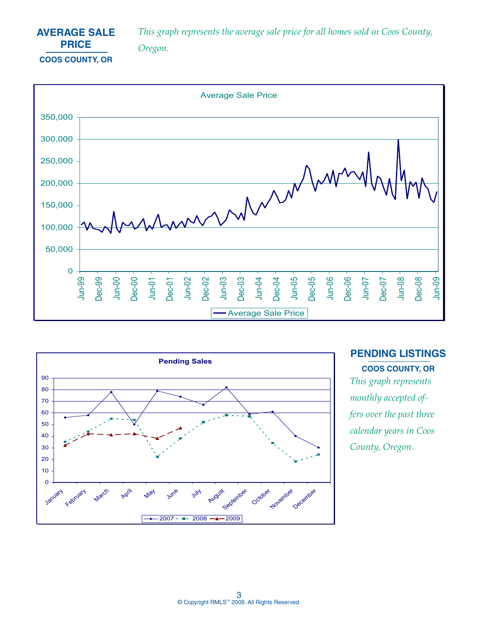

*This graph represents the average sale price for all homes sold in Coos County, Oregon.*





**PENDING LISTINGS Coos County, OR**

*This graph represents monthly accepted offers over the past three calendar years in Coos County, Oregon.*